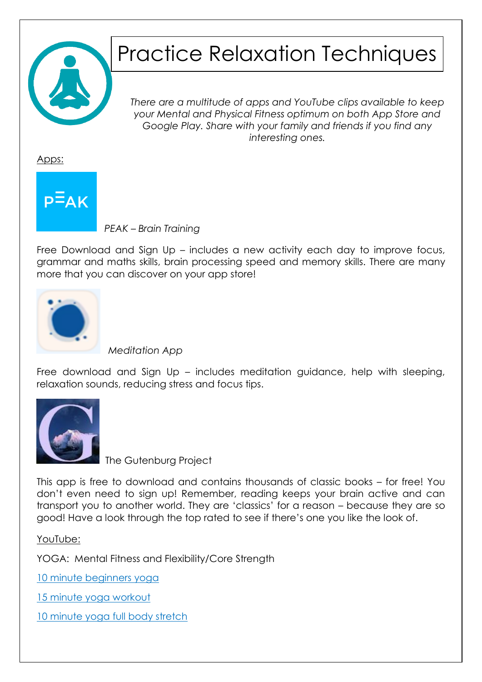

# Practice Relaxation Techniques

*There are a multitude of apps and YouTube clips available to keep your Mental and Physical Fitness optimum on both App Store and Google Play. Share with your family and friends if you find any interesting ones.*

Apps:



 *PEAK – Brain Training*

Free Download and Sign Up – includes a new activity each day to improve focus, grammar and maths skills, brain processing speed and memory skills. There are many more that you can discover on your app store!



 *Meditation App*

Free download and Sign Up – includes meditation guidance, help with sleeping, relaxation sounds, reducing stress and focus tips.



The Gutenburg Project

This app is free to download and contains thousands of classic books – for free! You don't even need to sign up! Remember, reading keeps your brain active and can transport you to another world. They are 'classics' for a reason – because they are so good! Have a look through the top rated to see if there's one you like the look of.

YouTube:

YOGA: Mental Fitness and Flexibility/Core Strength

[10 minute beginners yoga](https://www.youtube.com/watch?v=VaoV1PrYft4)

[15 minute yoga workout](https://www.youtube.com/watch?v=XCIviBT3Txc)

[10 minute yoga full body stretch](https://www.youtube.com/watch?v=4pKly2JojMw)